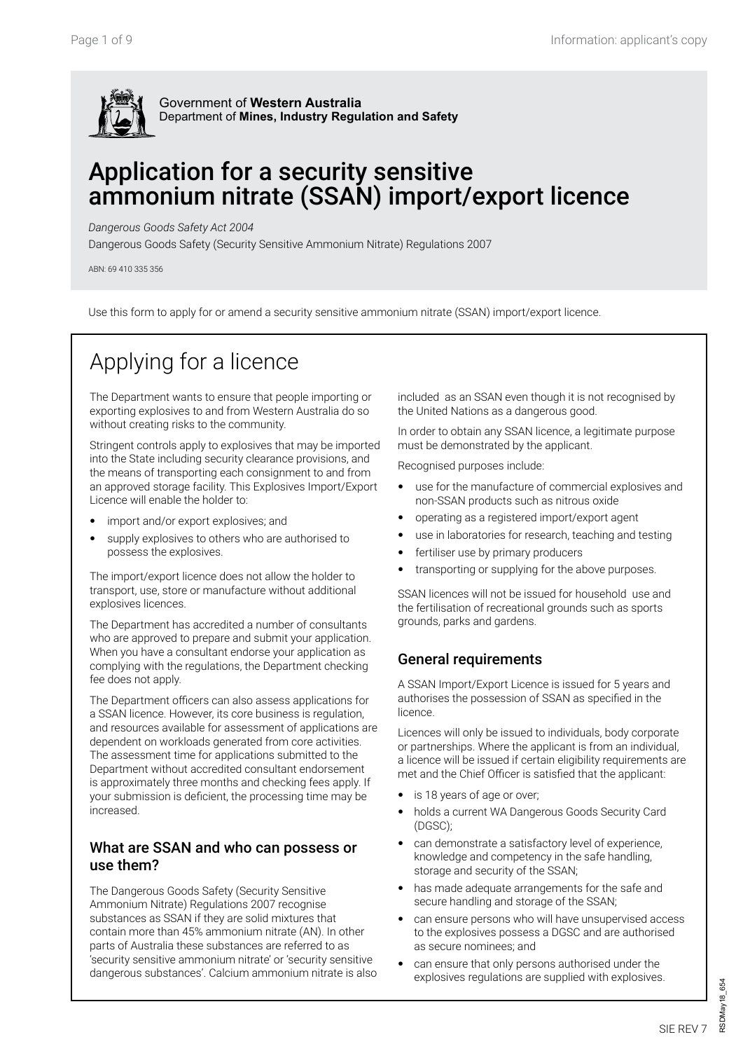

## Application for a security sensitive ammonium nitrate (SSAN) import/export licence

*Dangerous Goods Safety Act 2004*

Dangerous Goods Safety (Security Sensitive Ammonium Nitrate) Regulations 2007

ABN: 69 410 335 356

Use this form to apply for or amend a security sensitive ammonium nitrate (SSAN) import/export licence.

# Applying for a licence

The Department wants to ensure that people importing or exporting explosives to and from Western Australia do so without creating risks to the community.

Stringent controls apply to explosives that may be imported into the State including security clearance provisions, and the means of transporting each consignment to and from an approved storage facility. This Explosives Import/Export Licence will enable the holder to:

- import and/or export explosives; and
- supply explosives to others who are authorised to possess the explosives.

The import/export licence does not allow the holder to transport, use, store or manufacture without additional explosives licences.

The Department has accredited a number of consultants who are approved to prepare and submit your application. When you have a consultant endorse your application as complying with the regulations, the Department checking fee does not apply.

The Department officers can also assess applications for a SSAN licence. However, its core business is regulation, and resources available for assessment of applications are dependent on workloads generated from core activities. The assessment time for applications submitted to the Department without accredited consultant endorsement is approximately three months and checking fees apply. If your submission is deficient, the processing time may be increased.

#### What are SSAN and who can possess or use them?

The Dangerous Goods Safety (Security Sensitive Ammonium Nitrate) Regulations 2007 recognise substances as SSAN if they are solid mixtures that contain more than 45% ammonium nitrate (AN). In other parts of Australia these substances are referred to as 'security sensitive ammonium nitrate' or 'security sensitive dangerous substances'. Calcium ammonium nitrate is also

included as an SSAN even though it is not recognised by the United Nations as a dangerous good.

In order to obtain any SSAN licence, a legitimate purpose must be demonstrated by the applicant.

Recognised purposes include:

- use for the manufacture of commercial explosives and non-SSAN products such as nitrous oxide
- operating as a registered import/export agent
- use in laboratories for research, teaching and testing
- fertiliser use by primary producers
- transporting or supplying for the above purposes.

SSAN licences will not be issued for household use and the fertilisation of recreational grounds such as sports grounds, parks and gardens.

#### General requirements

A SSAN Import/Export Licence is issued for 5 years and authorises the possession of SSAN as specified in the licence.

Licences will only be issued to individuals, body corporate or partnerships. Where the applicant is from an individual, a licence will be issued if certain eligibility requirements are met and the Chief Officer is satisfied that the applicant:

- is 18 years of age or over;
- holds a current WA Dangerous Goods Security Card (DGSC);
- can demonstrate a satisfactory level of experience, knowledge and competency in the safe handling, storage and security of the SSAN;
- has made adequate arrangements for the safe and secure handling and storage of the SSAN;
- can ensure persons who will have unsupervised access to the explosives possess a DGSC and are authorised as secure nominees; and
- can ensure that only persons authorised under the explosives regulations are supplied with explosives.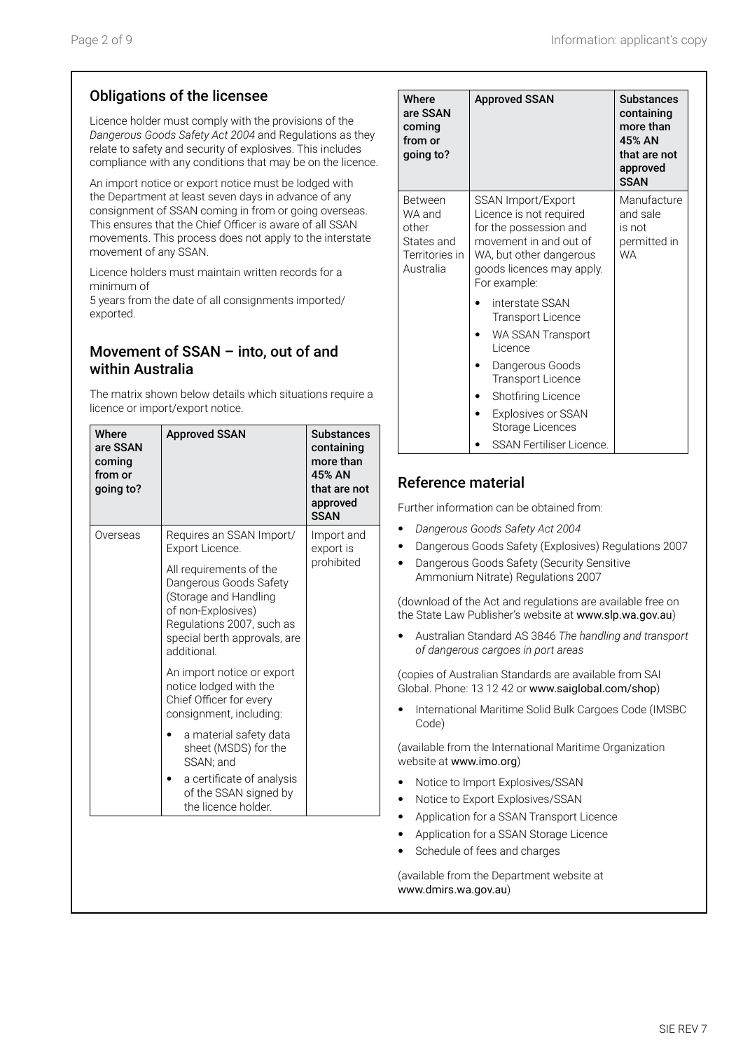## Obligations of the licensee

Licence holder must comply with the provisions of the *Dangerous Goods Safety Act 2004* and Regulations as they relate to safety and security of explosives. This includes compliance with any conditions that may be on the licence.

An import notice or export notice must be lodged with the Department at least seven days in advance of any consignment of SSAN coming in from or going overseas. This ensures that the Chief Officer is aware of all SSAN movements. This process does not apply to the interstate movement of any SSAN.

Licence holders must maintain written records for a minimum of

5 years from the date of all consignments imported/ exported.

### Movement of SSAN – into, out of and within Australia

The matrix shown below details which situations require a licence or import/export notice.

| Where<br>are SSAN<br>coming<br>from or<br>going to? | <b>Approved SSAN</b>                                                                                                                                                         | <b>Substances</b><br>containing<br>more than<br>45% AN<br>that are not<br>approved<br><b>SSAN</b> |
|-----------------------------------------------------|------------------------------------------------------------------------------------------------------------------------------------------------------------------------------|---------------------------------------------------------------------------------------------------|
| Overseas                                            | Requires an SSAN Import/<br>Export Licence.                                                                                                                                  | Import and<br>export is                                                                           |
|                                                     | All requirements of the<br>Dangerous Goods Safety<br>(Storage and Handling<br>of non-Explosives)<br>Regulations 2007, such as<br>special berth approvals, are<br>additional. | prohibited                                                                                        |
|                                                     | An import notice or export<br>notice lodged with the<br>Chief Officer for every<br>consignment, including:                                                                   |                                                                                                   |
|                                                     | a material safety data<br>sheet (MSDS) for the<br>SSAN; and                                                                                                                  |                                                                                                   |
|                                                     | a certificate of analysis<br>of the SSAN signed by<br>the licence holder.                                                                                                    |                                                                                                   |

| Where<br>are SSAN<br>coming<br>from or<br>going to?                     | <b>Approved SSAN</b>                                                                                                                                                                                                                 | <b>Substances</b><br>containing<br>more than<br>45% AN<br>that are not<br>approved<br><b>SSAN</b> |
|-------------------------------------------------------------------------|--------------------------------------------------------------------------------------------------------------------------------------------------------------------------------------------------------------------------------------|---------------------------------------------------------------------------------------------------|
| Between<br>WA and<br>other<br>States and<br>Territories in<br>Australia | SSAN Import/Export<br>Licence is not required<br>for the possession and<br>movement in and out of<br>WA, but other dangerous<br>goods licences may apply.<br>For example:                                                            | Manufacture<br>and sale<br>is not<br>permitted in<br><b>WA</b>                                    |
|                                                                         | interstate SSAN<br><b>Transport Licence</b><br>WA SSAN Transport<br>Licence<br>Dangerous Goods<br><b>Transport Licence</b><br>Shotfiring Licence<br><b>Explosives or SSAN</b><br>Storage Licences<br><b>SSAN Fertiliser Licence.</b> |                                                                                                   |

### Reference material

Further information can be obtained from:

- • *Dangerous Goods Safety Act 2004*
- Dangerous Goods Safety (Explosives) Regulations 2007
- Dangerous Goods Safety (Security Sensitive Ammonium Nitrate) Regulations 2007

(download of the Act and regulations are available free on the State Law Publisher's website at www.slp.wa.gov.au)

• Australian Standard AS 3846 *The handling and transport of dangerous cargoes in port areas*

(copies of Australian Standards are available from SAI Global. Phone: 13 12 42 or www.saiglobal.com/shop)

• International Maritime Solid Bulk Cargoes Code (IMSBC Code)

(available from the International Maritime Organization website at www.imo.org)

- Notice to Import Explosives/SSAN
- Notice to Export Explosives/SSAN
- Application for a SSAN Transport Licence
- Application for a SSAN Storage Licence
- Schedule of fees and charges

(available from the Department website at www.dmirs.wa.gov.au)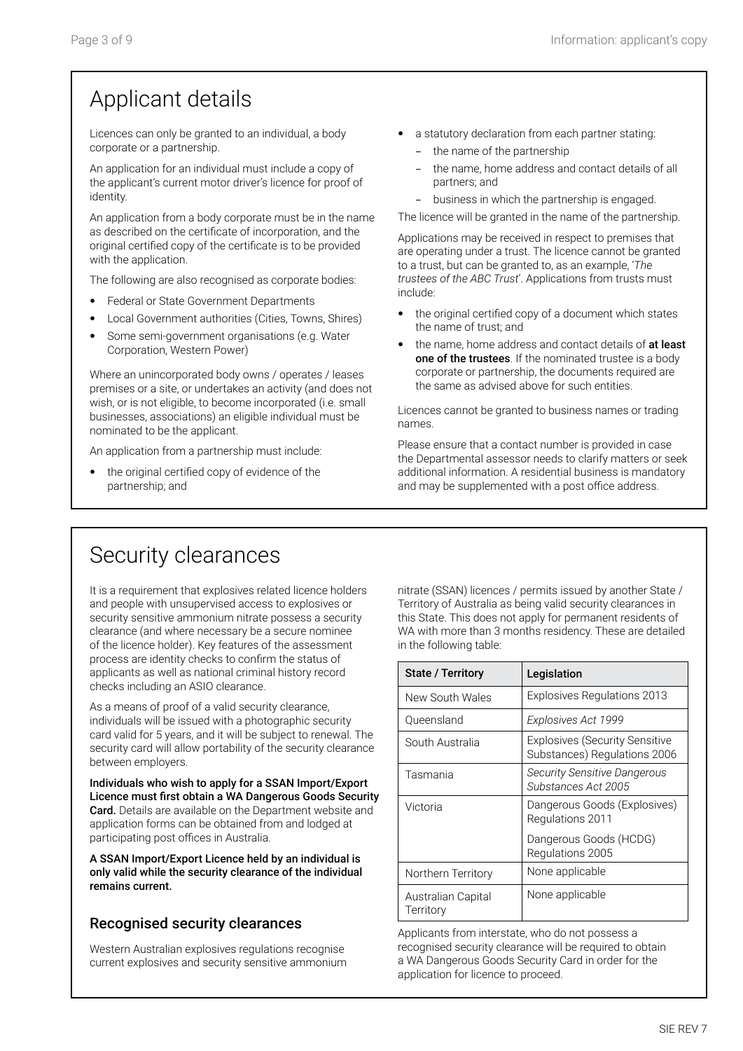## Applicant details

Licences can only be granted to an individual, a body corporate or a partnership.

An application for an individual must include a copy of the applicant's current motor driver's licence for proof of identity.

An application from a body corporate must be in the name as described on the certificate of incorporation, and the original certified copy of the certificate is to be provided with the application.

The following are also recognised as corporate bodies:

- Federal or State Government Departments
- Local Government authorities (Cities, Towns, Shires)
- Some semi-government organisations (e.g. Water Corporation, Western Power)

Where an unincorporated body owns / operates / leases premises or a site, or undertakes an activity (and does not wish, or is not eligible, to become incorporated (i.e. small businesses, associations) an eligible individual must be nominated to be the applicant.

An application from a partnership must include:

the original certified copy of evidence of the partnership; and

- a statutory declaration from each partner stating:
	- − the name of the partnership
	- the name, home address and contact details of all partners; and
	- − business in which the partnership is engaged.

The licence will be granted in the name of the partnership.

Applications may be received in respect to premises that are operating under a trust. The licence cannot be granted to a trust, but can be granted to, as an example, '*The trustees of the ABC Trust*'. Applications from trusts must include:

- the original certified copy of a document which states the name of trust; and
- the name, home address and contact details of at least one of the trustees. If the nominated trustee is a body corporate or partnership, the documents required are the same as advised above for such entities.

Licences cannot be granted to business names or trading names.

Please ensure that a contact number is provided in case the Departmental assessor needs to clarify matters or seek additional information. A residential business is mandatory and may be supplemented with a post office address.

## Security clearances

It is a requirement that explosives related licence holders and people with unsupervised access to explosives or security sensitive ammonium nitrate possess a security clearance (and where necessary be a secure nominee of the licence holder). Key features of the assessment process are identity checks to confirm the status of applicants as well as national criminal history record checks including an ASIO clearance.

As a means of proof of a valid security clearance, individuals will be issued with a photographic security card valid for 5 years, and it will be subject to renewal. The security card will allow portability of the security clearance between employers.

Individuals who wish to apply for a SSAN Import/Export Licence must first obtain a WA Dangerous Goods Security Card. Details are available on the Department website and application forms can be obtained from and lodged at participating post offices in Australia.

A SSAN Import/Export Licence held by an individual is only valid while the security clearance of the individual remains current.

### Recognised security clearances

Western Australian explosives regulations recognise current explosives and security sensitive ammonium

nitrate (SSAN) licences / permits issued by another State / Territory of Australia as being valid security clearances in this State. This does not apply for permanent residents of WA with more than 3 months residency. These are detailed in the following table:

| <b>State / Territory</b>        | Legislation                                                           |
|---------------------------------|-----------------------------------------------------------------------|
| New South Wales                 | Explosives Regulations 2013                                           |
| Oueensland                      | Explosives Act 1999                                                   |
| South Australia                 | <b>Explosives (Security Sensitive</b><br>Substances) Regulations 2006 |
| Tasmania                        | Security Sensitive Dangerous<br>Substances Act 2005                   |
| Victoria                        | Dangerous Goods (Explosives)<br>Regulations 2011                      |
|                                 | Dangerous Goods (HCDG)<br>Regulations 2005                            |
| Northern Territory              | None applicable                                                       |
| Australian Capital<br>Territory | None applicable                                                       |

Applicants from interstate, who do not possess a recognised security clearance will be required to obtain a WA Dangerous Goods Security Card in order for the application for licence to proceed.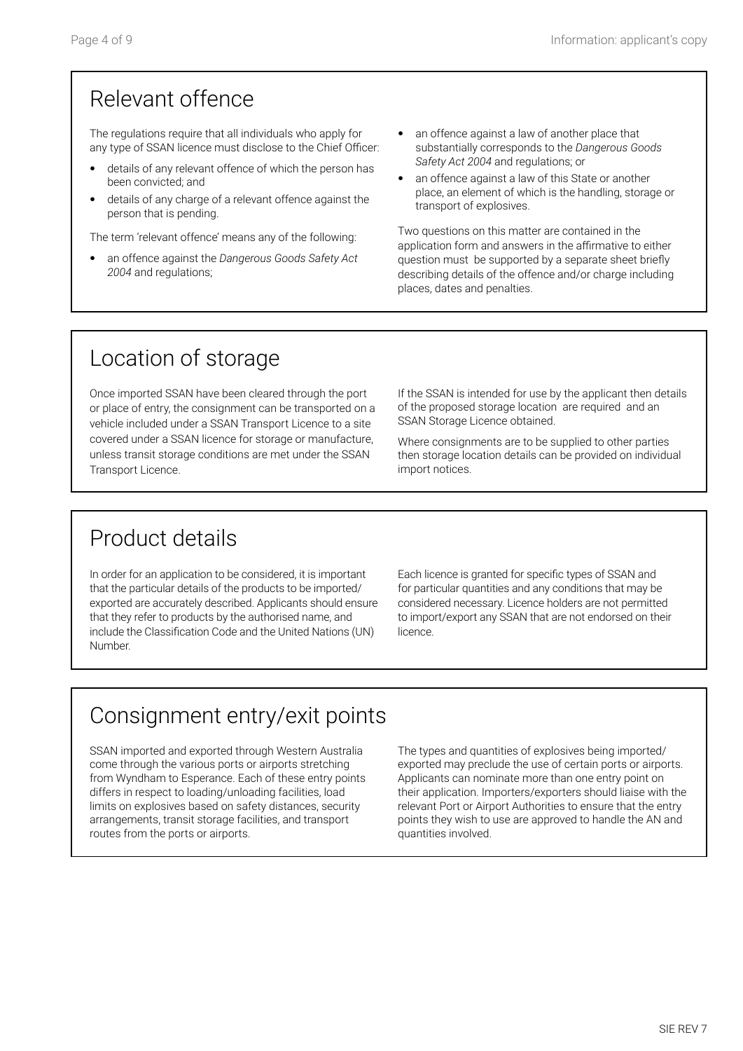## Relevant offence

The regulations require that all individuals who apply for any type of SSAN licence must disclose to the Chief Officer:

- details of any relevant offence of which the person has been convicted; and
- details of any charge of a relevant offence against the person that is pending.

The term 'relevant offence' means any of the following:

- an offence against the *Dangerous Goods Safety Act 2004* and regulations;
- an offence against a law of another place that substantially corresponds to the *Dangerous Goods Safety Act 2004* and regulations; or
- an offence against a law of this State or another place, an element of which is the handling, storage or transport of explosives.

Two questions on this matter are contained in the application form and answers in the affirmative to either question must be supported by a separate sheet briefly describing details of the offence and/or charge including places, dates and penalties.

## Location of storage

Once imported SSAN have been cleared through the port or place of entry, the consignment can be transported on a vehicle included under a SSAN Transport Licence to a site covered under a SSAN licence for storage or manufacture, unless transit storage conditions are met under the SSAN Transport Licence.

If the SSAN is intended for use by the applicant then details of the proposed storage location are required and an SSAN Storage Licence obtained.

Where consignments are to be supplied to other parties then storage location details can be provided on individual import notices.

# Product details

In order for an application to be considered, it is important that the particular details of the products to be imported/ exported are accurately described. Applicants should ensure that they refer to products by the authorised name, and include the Classification Code and the United Nations (UN) Number.

Each licence is granted for specific types of SSAN and for particular quantities and any conditions that may be considered necessary. Licence holders are not permitted to import/export any SSAN that are not endorsed on their licence.

# Consignment entry/exit points

SSAN imported and exported through Western Australia come through the various ports or airports stretching from Wyndham to Esperance. Each of these entry points differs in respect to loading/unloading facilities, load limits on explosives based on safety distances, security arrangements, transit storage facilities, and transport routes from the ports or airports.

The types and quantities of explosives being imported/ exported may preclude the use of certain ports or airports. Applicants can nominate more than one entry point on their application. Importers/exporters should liaise with the relevant Port or Airport Authorities to ensure that the entry points they wish to use are approved to handle the AN and quantities involved.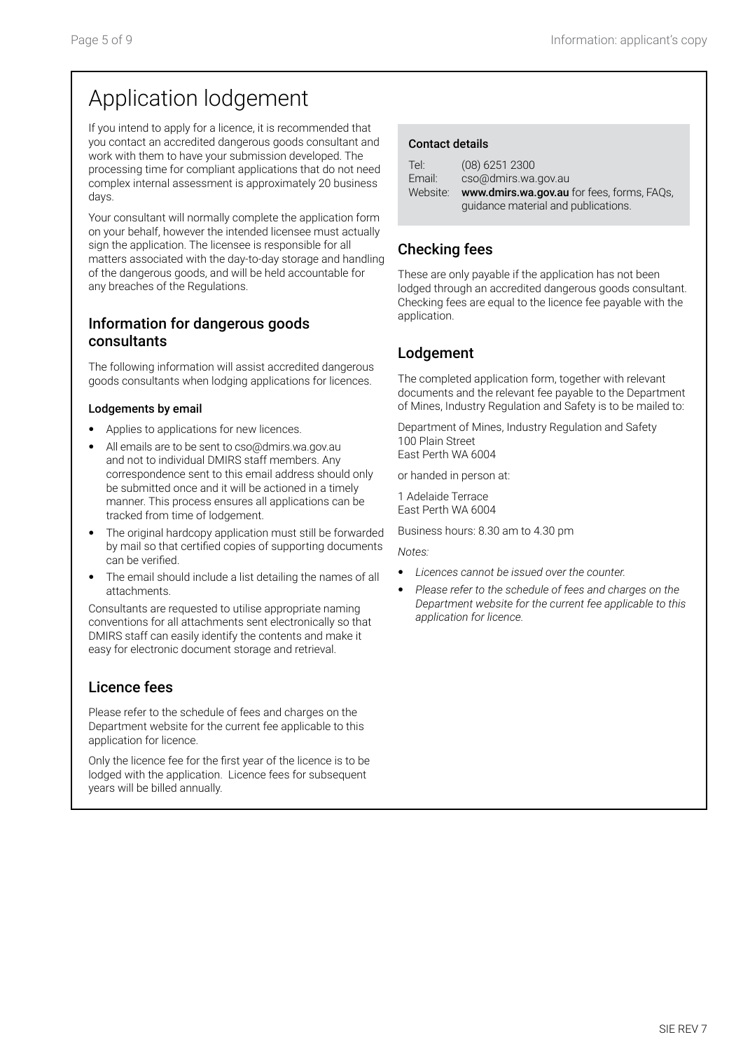## Application lodgement

If you intend to apply for a licence, it is recommended that you contact an accredited dangerous goods consultant and work with them to have your submission developed. The processing time for compliant applications that do not need complex internal assessment is approximately 20 business days.

Your consultant will normally complete the application form on your behalf, however the intended licensee must actually sign the application. The licensee is responsible for all matters associated with the day-to-day storage and handling of the dangerous goods, and will be held accountable for any breaches of the Regulations.

### Information for dangerous goods consultants

The following information will assist accredited dangerous goods consultants when lodging applications for licences.

#### Lodgements by email

- Applies to applications for new licences.
- All emails are to be sent to cso@dmirs.wa.gov.au and not to individual DMIRS staff members. Any correspondence sent to this email address should only be submitted once and it will be actioned in a timely manner. This process ensures all applications can be tracked from time of lodgement.
- The original hardcopy application must still be forwarded by mail so that certified copies of supporting documents can be verified.
- The email should include a list detailing the names of all attachments.

Consultants are requested to utilise appropriate naming conventions for all attachments sent electronically so that DMIRS staff can easily identify the contents and make it easy for electronic document storage and retrieval.

### Licence fees

Please refer to the schedule of fees and charges on the Department website for the current fee applicable to this application for licence.

Only the licence fee for the first year of the licence is to be lodged with the application. Licence fees for subsequent years will be billed annually.

#### Contact details

| Tel:     | $(08)$ 6251 2300                           |
|----------|--------------------------------------------|
| Email:   | cso@dmirs.wa.gov.au                        |
| Website: | www.dmirs.wa.gov.au for fees, forms, FAQs, |
|          | quidance material and publications.        |

## Checking fees

These are only payable if the application has not been lodged through an accredited dangerous goods consultant. Checking fees are equal to the licence fee payable with the application.

### Lodgement

The completed application form, together with relevant documents and the relevant fee payable to the Department of Mines, Industry Regulation and Safety is to be mailed to:

Department of Mines, Industry Regulation and Safety 100 Plain Street East Perth WA 6004

or handed in person at:

1 Adelaide Terrace East Perth WA 6004

Business hours: 8.30 am to 4.30 pm

*Notes:*

- *Licences cannot be issued over the counter.*
- *Please refer to the schedule of fees and charges on the Department website for the current fee applicable to this application for licence.*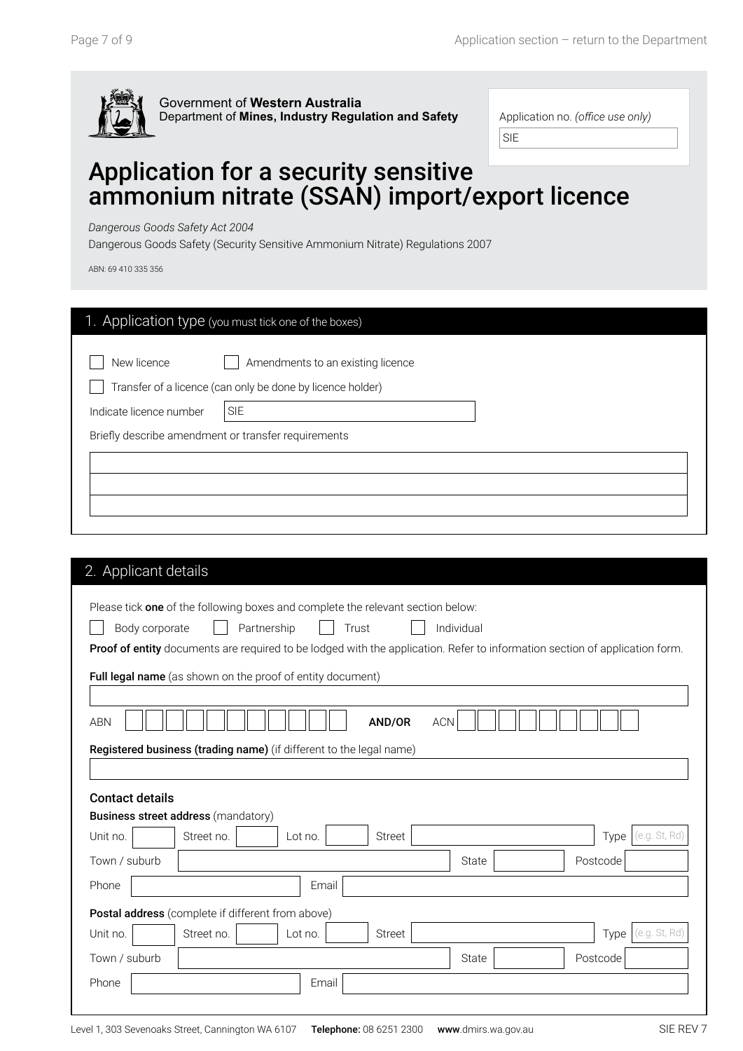

| Application no. (office use only) |  |
|-----------------------------------|--|
|-----------------------------------|--|

SIE

## Application for a security sensitive ammonium nitrate (SSAN) import/export licence

*Dangerous Goods Safety Act 2004*

Dangerous Goods Safety (Security Sensitive Ammonium Nitrate) Regulations 2007

ABN: 69 410 335 356

| 1. Application type (you must tick one of the boxes)                                         |                                   |
|----------------------------------------------------------------------------------------------|-----------------------------------|
| New licence<br>Transfer of a licence (can only be done by licence holder)                    | Amendments to an existing licence |
| Indicate licence number<br><b>SIE</b><br>Briefly describe amendment or transfer requirements |                                   |
|                                                                                              |                                   |
|                                                                                              |                                   |

|                                                        |            | Please tick one of the following boxes and complete the relevant section below: |               |            |                                                                                                                             |               |
|--------------------------------------------------------|------------|---------------------------------------------------------------------------------|---------------|------------|-----------------------------------------------------------------------------------------------------------------------------|---------------|
| Body corporate                                         |            | Partnership                                                                     | Trust         | Individual |                                                                                                                             |               |
|                                                        |            |                                                                                 |               |            | Proof of entity documents are required to be lodged with the application. Refer to information section of application form. |               |
|                                                        |            | Full legal name (as shown on the proof of entity document)                      |               |            |                                                                                                                             |               |
|                                                        |            |                                                                                 |               |            |                                                                                                                             |               |
| <b>ABN</b>                                             |            |                                                                                 | AND/OR        | <b>ACN</b> |                                                                                                                             |               |
|                                                        |            |                                                                                 |               |            |                                                                                                                             |               |
|                                                        |            |                                                                                 |               |            |                                                                                                                             |               |
|                                                        |            | Registered business (trading name) (if different to the legal name)             |               |            |                                                                                                                             |               |
|                                                        |            |                                                                                 |               |            |                                                                                                                             |               |
| <b>Contact details</b>                                 |            |                                                                                 |               |            |                                                                                                                             |               |
| <b>Business street address (mandatory)</b><br>Unit no. | Street no. | Lot no.                                                                         | <b>Street</b> |            | Type                                                                                                                        | (e.g. St, Rd) |
| Town / suburb                                          |            |                                                                                 |               | State      | Postcode                                                                                                                    |               |
| Phone                                                  |            | Email                                                                           |               |            |                                                                                                                             |               |
|                                                        |            | Postal address (complete if different from above)                               |               |            |                                                                                                                             |               |
| Unit no.                                               | Street no. | Lot no.                                                                         | <b>Street</b> |            | Type                                                                                                                        | (e.g. St. Rd) |
| Town / suburb                                          |            |                                                                                 |               | State      | Postcode                                                                                                                    |               |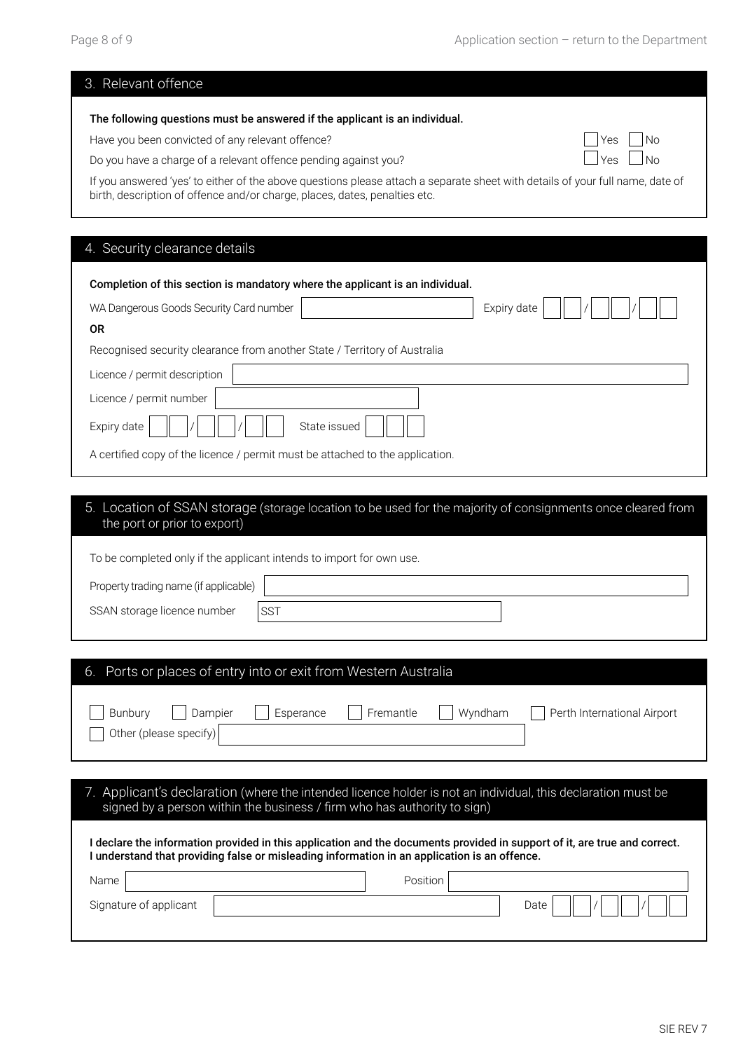| 3. Relevant offence                                                                                                                                                                                         |            |
|-------------------------------------------------------------------------------------------------------------------------------------------------------------------------------------------------------------|------------|
| The following questions must be answered if the applicant is an individual.                                                                                                                                 |            |
| Have you been convicted of any relevant offence?                                                                                                                                                            | No.<br>Yes |
| Do you have a charge of a relevant offence pending against you?                                                                                                                                             |            |
| If you answered 'yes' to either of the above questions please attach a separate sheet with details of your full name, date of<br>birth, description of offence and/or charge, places, dates, penalties etc. |            |
|                                                                                                                                                                                                             |            |
| 4. Security clearance details                                                                                                                                                                               |            |
| Completion of this section is mandatory where the applicant is an individual.                                                                                                                               |            |
| WA Dangerous Goods Security Card number<br>Expiry date                                                                                                                                                      |            |
| <b>OR</b>                                                                                                                                                                                                   |            |
| Recognised security clearance from another State / Territory of Australia                                                                                                                                   |            |
| Licence / permit description                                                                                                                                                                                |            |
| Licence / permit number                                                                                                                                                                                     |            |
| Expiry date<br>State issued                                                                                                                                                                                 |            |
| A certified copy of the licence / permit must be attached to the application.                                                                                                                               |            |
|                                                                                                                                                                                                             |            |

#### 5. Location of SSAN storage (storage location to be used for the majority of consignments once cleared from the port or prior to export)

To be completed only if the applicant intends to import for own use.

| Property trading name (if applicable) |                 |  |
|---------------------------------------|-----------------|--|
| SSAN storage licence number           | SS <sub>1</sub> |  |

| Ports or places of entry into or exit from Western Australia<br>6.                                                                                                                                                      |
|-------------------------------------------------------------------------------------------------------------------------------------------------------------------------------------------------------------------------|
| Fremantle<br>Esperance<br>Wyndham<br><b>Bunbury</b><br>Dampier<br>Perth International Airport<br>Other (please specify)                                                                                                 |
|                                                                                                                                                                                                                         |
| 7. Applicant's declaration (where the intended licence holder is not an individual, this declaration must be<br>signed by a person within the business / firm who has authority to sign)                                |
| declare the information provided in this application and the documents provided in support of it, are true and correct.<br>I understand that providing false or misleading information in an application is an offence. |
| Name<br>Position                                                                                                                                                                                                        |
| Signature of applicant<br>Date                                                                                                                                                                                          |